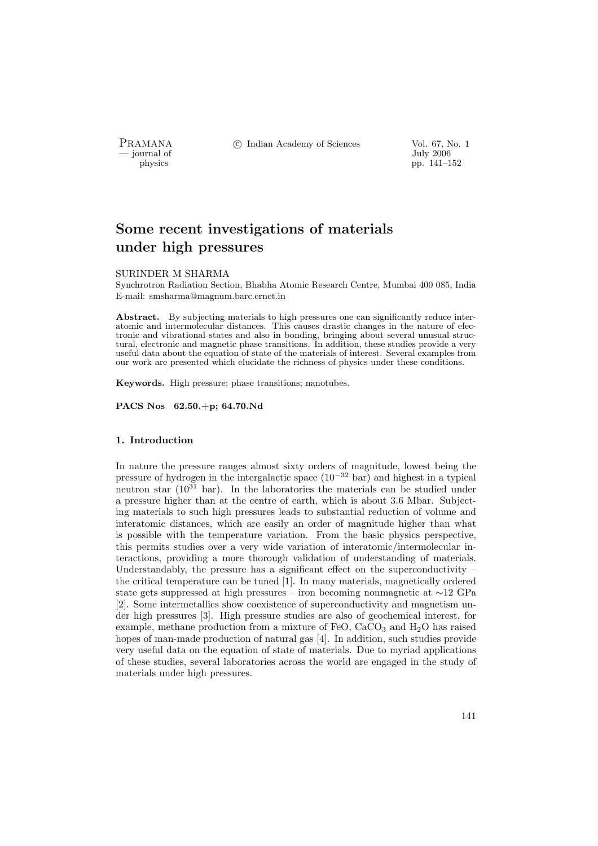PRAMANA <sup>©</sup>© Indian Academy of Sciences Vol. 67, No. 1<br>
— journal of July 2006

 $\frac{1}{10}$  by  $\frac{1}{2006}$  by  $\frac{1}{10}$  by  $\frac{1}{10}$  by  $\frac{1}{10}$  by  $\frac{1}{10}$  by  $\frac{1}{10}$  by  $\frac{1}{10}$  by  $\frac{1}{10}$  by  $\frac{1}{10}$  by  $\frac{1}{10}$  by  $\frac{1}{10}$  by  $\frac{1}{10}$  by  $\frac{1}{10}$  by  $\frac{1}{10}$  by  $\frac{1}{10}$ pp. 141–152

# Some recent investigations of materials under high pressures

#### SURINDER M SHARMA

Synchrotron Radiation Section, Bhabha Atomic Research Centre, Mumbai 400 085, India E-mail: smsharma@magnum.barc.ernet.in

Abstract. By subjecting materials to high pressures one can significantly reduce interatomic and intermolecular distances. This causes drastic changes in the nature of electronic and vibrational states and also in bonding, bringing about several unusual structural, electronic and magnetic phase transitions. In addition, these studies provide a very useful data about the equation of state of the materials of interest. Several examples from our work are presented which elucidate the richness of physics under these conditions.

Keywords. High pressure; phase transitions; nanotubes.

PACS Nos 62.50.+p; 64.70.Nd

# 1. Introduction

In nature the pressure ranges almost sixty orders of magnitude, lowest being the pressure of hydrogen in the intergalactic space (10<sup>−</sup><sup>32</sup> bar) and highest in a typical neutron star  $(10^{31}$  bar). In the laboratories the materials can be studied under a pressure higher than at the centre of earth, which is about 3.6 Mbar. Subjecting materials to such high pressures leads to substantial reduction of volume and interatomic distances, which are easily an order of magnitude higher than what is possible with the temperature variation. From the basic physics perspective, this permits studies over a very wide variation of interatomic/intermolecular interactions, providing a more thorough validation of understanding of materials. Understandably, the pressure has a significant effect on the superconductivity  $$ the critical temperature can be tuned [1]. In many materials, magnetically ordered state gets suppressed at high pressures – iron becoming nonmagnetic at ∼12 GPa [2]. Some intermetallics show coexistence of superconductivity and magnetism under high pressures [3]. High pressure studies are also of geochemical interest, for example, methane production from a mixture of FeO,  $CaCO<sub>3</sub>$  and  $H<sub>2</sub>O$  has raised hopes of man-made production of natural gas [4]. In addition, such studies provide very useful data on the equation of state of materials. Due to myriad applications of these studies, several laboratories across the world are engaged in the study of materials under high pressures.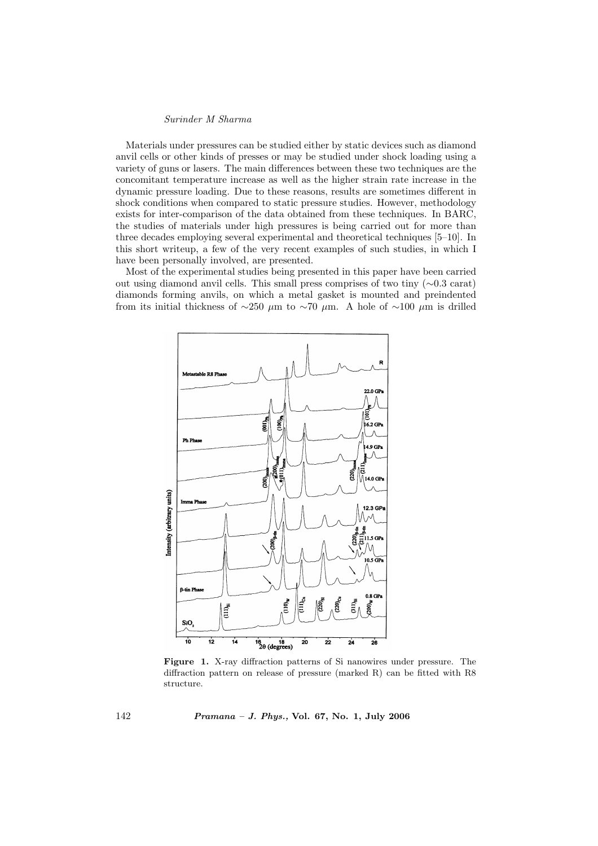## Surinder M Sharma

Materials under pressures can be studied either by static devices such as diamond anvil cells or other kinds of presses or may be studied under shock loading using a variety of guns or lasers. The main differences between these two techniques are the concomitant temperature increase as well as the higher strain rate increase in the dynamic pressure loading. Due to these reasons, results are sometimes different in shock conditions when compared to static pressure studies. However, methodology exists for inter-comparison of the data obtained from these techniques. In BARC, the studies of materials under high pressures is being carried out for more than three decades employing several experimental and theoretical techniques [5–10]. In this short writeup, a few of the very recent examples of such studies, in which I have been personally involved, are presented.

Most of the experimental studies being presented in this paper have been carried out using diamond anvil cells. This small press comprises of two tiny (∼0.3 carat) diamonds forming anvils, on which a metal gasket is mounted and preindented from its initial thickness of ~250  $\mu$ m to ~70  $\mu$ m. A hole of ~100  $\mu$ m is drilled



Figure 1. X-ray diffraction patterns of Si nanowires under pressure. The diffraction pattern on release of pressure (marked R) can be fitted with R8 structure.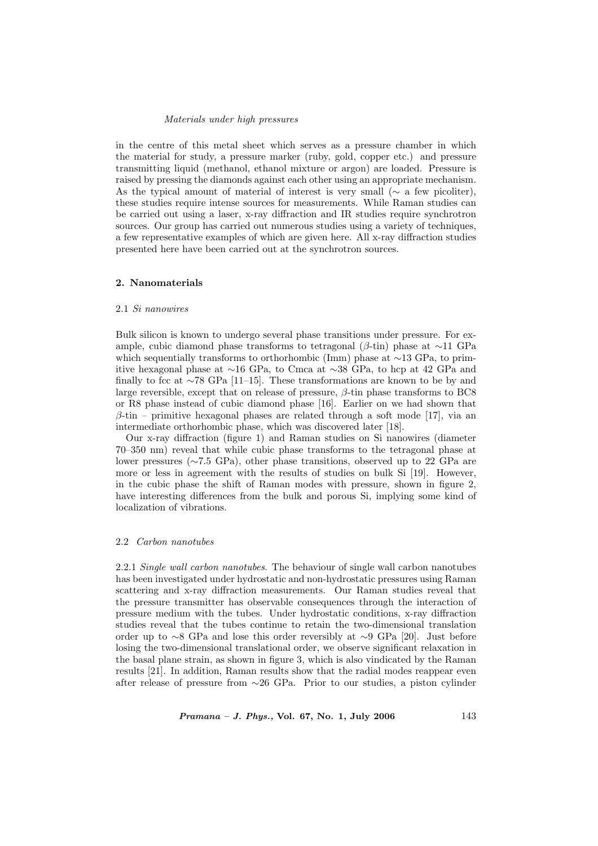#### Materials under high pressures

in the centre of this metal sheet which serves as a pressure chamber in which the material for study, a pressure marker (ruby, gold, copper etc.) and pressure transmitting liquid (methanol, ethanol mixture or argon) are loaded. Pressure is raised by pressing the diamonds against each other using an appropriate mechanism. As the typical amount of material of interest is very small ( $\sim$  a few picoliter), these studies require intense sources for measurements. While Raman studies can be carried out using a laser, x-ray diffraction and IR studies require synchrotron sources. Our group has carried out numerous studies using a variety of techniques, a few representative examples of which are given here. All x-ray diffraction studies presented here have been carried out at the synchrotron sources.

# 2. Nanomaterials

#### 2.1 Si nanowires

Bulk silicon is known to undergo several phase transitions under pressure. For example, cubic diamond phase transforms to tetragonal ( $\beta$ -tin) phase at ∼11 GPa which sequentially transforms to orthorhombic (Imm) phase at ∼13 GPa, to primitive hexagonal phase at ∼16 GPa, to Cmca at ∼38 GPa, to hcp at 42 GPa and finally to fcc at ∼78 GPa [11–15]. These transformations are known to be by and large reversible, except that on release of pressure,  $\beta$ -tin phase transforms to BC8 or R8 phase instead of cubic diamond phase [16]. Earlier on we had shown that  $\beta$ -tin – primitive hexagonal phases are related through a soft mode [17], via an intermediate orthorhombic phase, which was discovered later [18].

Our x-ray diffraction (figure 1) and Raman studies on Si nanowires (diameter 70–350 nm) reveal that while cubic phase transforms to the tetragonal phase at lower pressures (∼7.5 GPa), other phase transitions, observed up to 22 GPa are more or less in agreement with the results of studies on bulk Si [19]. However, in the cubic phase the shift of Raman modes with pressure, shown in figure 2, have interesting differences from the bulk and porous Si, implying some kind of localization of vibrations.

#### 2.2 Carbon nanotubes

2.2.1 Single wall carbon nanotubes. The behaviour of single wall carbon nanotubes has been investigated under hydrostatic and non-hydrostatic pressures using Raman scattering and x-ray diffraction measurements. Our Raman studies reveal that the pressure transmitter has observable consequences through the interaction of pressure medium with the tubes. Under hydrostatic conditions, x-ray diffraction studies reveal that the tubes continue to retain the two-dimensional translation order up to ∼8 GPa and lose this order reversibly at ∼9 GPa [20]. Just before losing the two-dimensional translational order, we observe significant relaxation in the basal plane strain, as shown in figure 3, which is also vindicated by the Raman results [21]. In addition, Raman results show that the radial modes reappear even after release of pressure from ∼26 GPa. Prior to our studies, a piston cylinder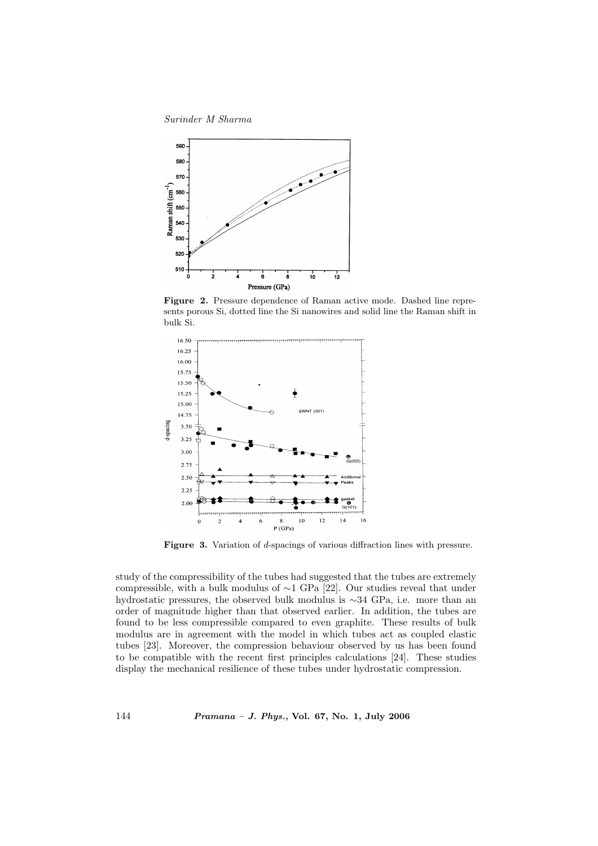Surinder M Sharma



Figure 2. Pressure dependence of Raman active mode. Dashed line represents porous Si, dotted line the Si nanowires and solid line the Raman shift in bulk Si.



Figure 3. Variation of d-spacings of various diffraction lines with pressure.

study of the compressibility of the tubes had suggested that the tubes are extremely compressible, with a bulk modulus of  $\sim$ 1 GPa [22]. Our studies reveal that under hydrostatic pressures, the observed bulk modulus is ∼34 GPa, i.e. more than an order of magnitude higher than that observed earlier. In addition, the tubes are found to be less compressible compared to even graphite. These results of bulk modulus are in agreement with the model in which tubes act as coupled elastic tubes [23]. Moreover, the compression behaviour observed by us has been found to be compatible with the recent first principles calculations [24]. These studies display the mechanical resilience of these tubes under hydrostatic compression.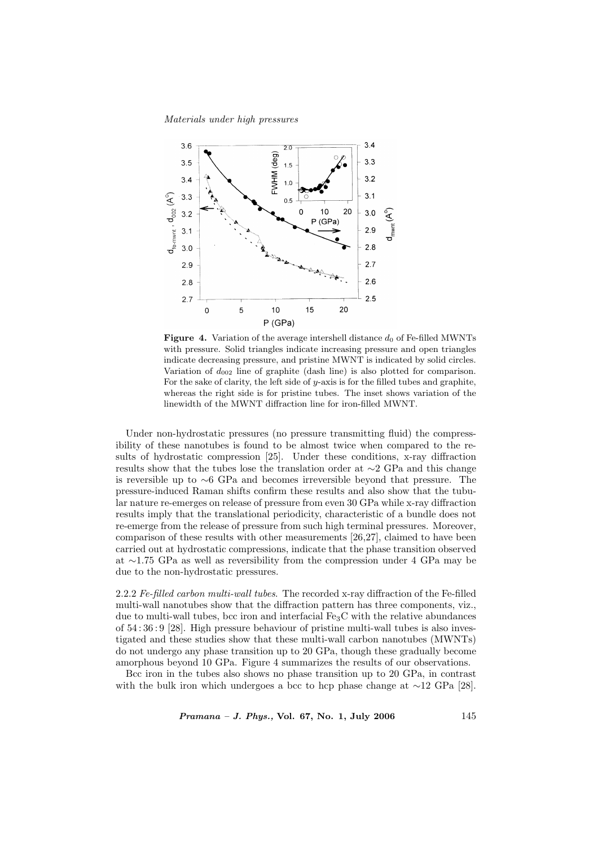Materials under high pressures



**Figure 4.** Variation of the average intershell distance  $d_0$  of Fe-filled MWNTs with pressure. Solid triangles indicate increasing pressure and open triangles indicate decreasing pressure, and pristine MWNT is indicated by solid circles. Variation of  $d_{002}$  line of graphite (dash line) is also plotted for comparison. For the sake of clarity, the left side of y-axis is for the filled tubes and graphite, whereas the right side is for pristine tubes. The inset shows variation of the linewidth of the MWNT diffraction line for iron-filled MWNT.

Under non-hydrostatic pressures (no pressure transmitting fluid) the compressibility of these nanotubes is found to be almost twice when compared to the results of hydrostatic compression [25]. Under these conditions, x-ray diffraction results show that the tubes lose the translation order at ∼2 GPa and this change is reversible up to ∼6 GPa and becomes irreversible beyond that pressure. The pressure-induced Raman shifts confirm these results and also show that the tubular nature re-emerges on release of pressure from even 30 GPa while x-ray diffraction results imply that the translational periodicity, characteristic of a bundle does not re-emerge from the release of pressure from such high terminal pressures. Moreover, comparison of these results with other measurements [26,27], claimed to have been carried out at hydrostatic compressions, indicate that the phase transition observed at ∼1.75 GPa as well as reversibility from the compression under 4 GPa may be due to the non-hydrostatic pressures.

2.2.2 Fe-filled carbon multi-wall tubes. The recorded x-ray diffraction of the Fe-filled multi-wall nanotubes show that the diffraction pattern has three components, viz., due to multi-wall tubes, bcc iron and interfacial  $Fe<sub>3</sub>C$  with the relative abundances of 54 : 36 : 9 [28]. High pressure behaviour of pristine multi-wall tubes is also investigated and these studies show that these multi-wall carbon nanotubes (MWNTs) do not undergo any phase transition up to 20 GPa, though these gradually become amorphous beyond 10 GPa. Figure 4 summarizes the results of our observations.

Bcc iron in the tubes also shows no phase transition up to 20 GPa, in contrast with the bulk iron which undergoes a bcc to hcp phase change at  $\sim$ 12 GPa [28].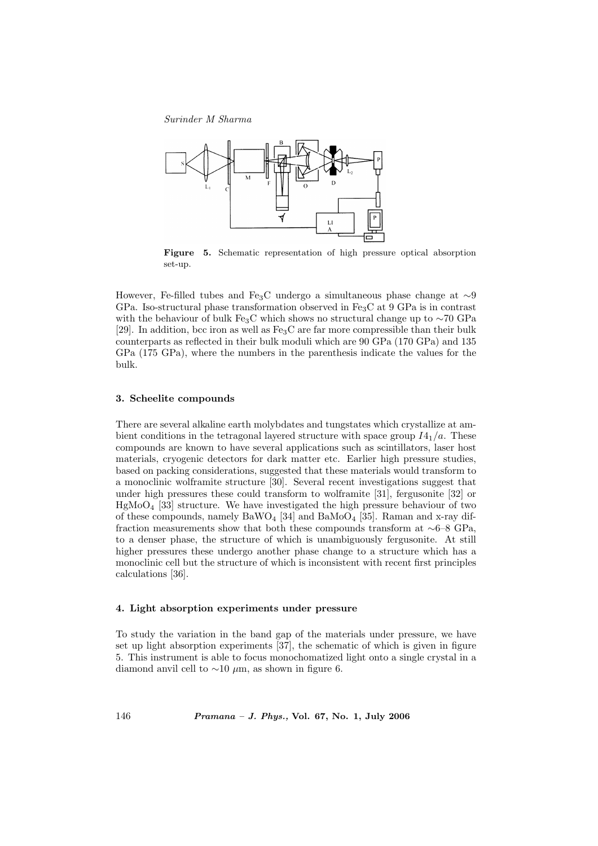Surinder M Sharma



Figure 5. Schematic representation of high pressure optical absorption set-up.

However, Fe-filled tubes and Fe3C undergo a simultaneous phase change at ∼9 GPa. Iso-structural phase transformation observed in Fe3C at 9 GPa is in contrast with the behaviour of bulk Fe<sub>3</sub>C which shows no structural change up to ∼70 GPa [29]. In addition, bcc iron as well as  $Fe<sub>3</sub>C$  are far more compressible than their bulk counterparts as reflected in their bulk moduli which are 90 GPa (170 GPa) and 135 GPa (175 GPa), where the numbers in the parenthesis indicate the values for the bulk.

#### 3. Scheelite compounds

There are several alkaline earth molybdates and tungstates which crystallize at ambient conditions in the tetragonal layered structure with space group  $I4_1/a$ . These compounds are known to have several applications such as scintillators, laser host materials, cryogenic detectors for dark matter etc. Earlier high pressure studies, based on packing considerations, suggested that these materials would transform to a monoclinic wolframite structure [30]. Several recent investigations suggest that under high pressures these could transform to wolframite [31], fergusonite [32] or  $HgMoO<sub>4</sub>$  [33] structure. We have investigated the high pressure behaviour of two of these compounds, namely  $BaWO_4$  [34] and  $BaMoO_4$  [35]. Raman and x-ray diffraction measurements show that both these compounds transform at ∼6–8 GPa, to a denser phase, the structure of which is unambiguously fergusonite. At still higher pressures these undergo another phase change to a structure which has a monoclinic cell but the structure of which is inconsistent with recent first principles calculations [36].

#### 4. Light absorption experiments under pressure

To study the variation in the band gap of the materials under pressure, we have set up light absorption experiments [37], the schematic of which is given in figure 5. This instrument is able to focus monochomatized light onto a single crystal in a diamond anvil cell to  $\sim$ 10  $\mu$ m, as shown in figure 6.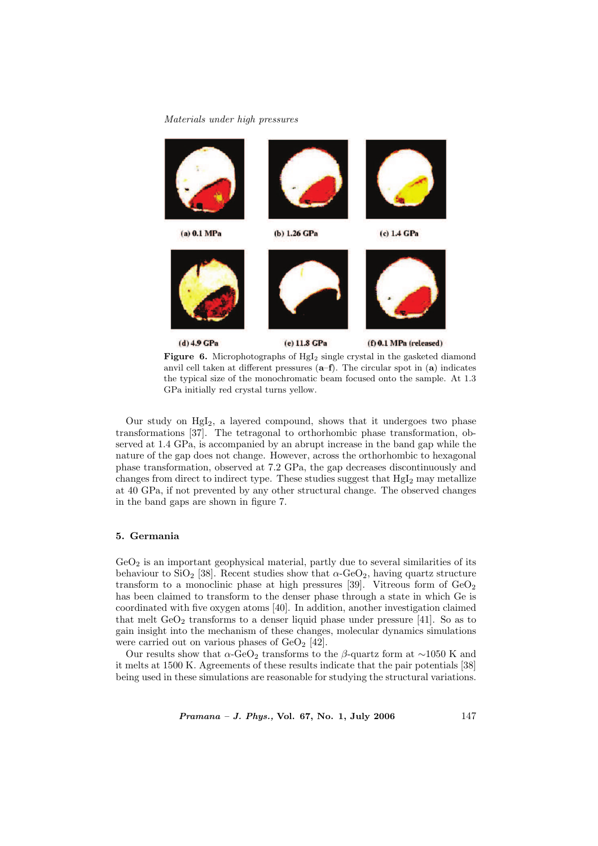## Materials under high pressures



Figure 6. Microphotographs of HgI<sub>2</sub> single crystal in the gasketed diamond anvil cell taken at different pressures (a–f). The circular spot in (a) indicates the typical size of the monochromatic beam focused onto the sample. At 1.3 GPa initially red crystal turns yellow.

Our study on  $HgI_2$ , a layered compound, shows that it undergoes two phase transformations [37]. The tetragonal to orthorhombic phase transformation, observed at 1.4 GPa, is accompanied by an abrupt increase in the band gap while the nature of the gap does not change. However, across the orthorhombic to hexagonal phase transformation, observed at 7.2 GPa, the gap decreases discontinuously and changes from direct to indirect type. These studies suggest that  $HgI<sub>2</sub>$  may metallize at 40 GPa, if not prevented by any other structural change. The observed changes in the band gaps are shown in figure 7.

## 5. Germania

 $GeO<sub>2</sub>$  is an important geophysical material, partly due to several similarities of its behaviour to SiO<sub>2</sub> [38]. Recent studies show that  $\alpha$ -GeO<sub>2</sub>, having quartz structure transform to a monoclinic phase at high pressures [39]. Vitreous form of  $\text{GeO}_2$ has been claimed to transform to the denser phase through a state in which Ge is coordinated with five oxygen atoms [40]. In addition, another investigation claimed that melt  $GeO<sub>2</sub>$  transforms to a denser liquid phase under pressure [41]. So as to gain insight into the mechanism of these changes, molecular dynamics simulations were carried out on various phases of  $GeO<sub>2</sub>$  [42].

Our results show that  $\alpha$ -GeO<sub>2</sub> transforms to the β-quartz form at ~1050 K and it melts at 1500 K. Agreements of these results indicate that the pair potentials [38] being used in these simulations are reasonable for studying the structural variations.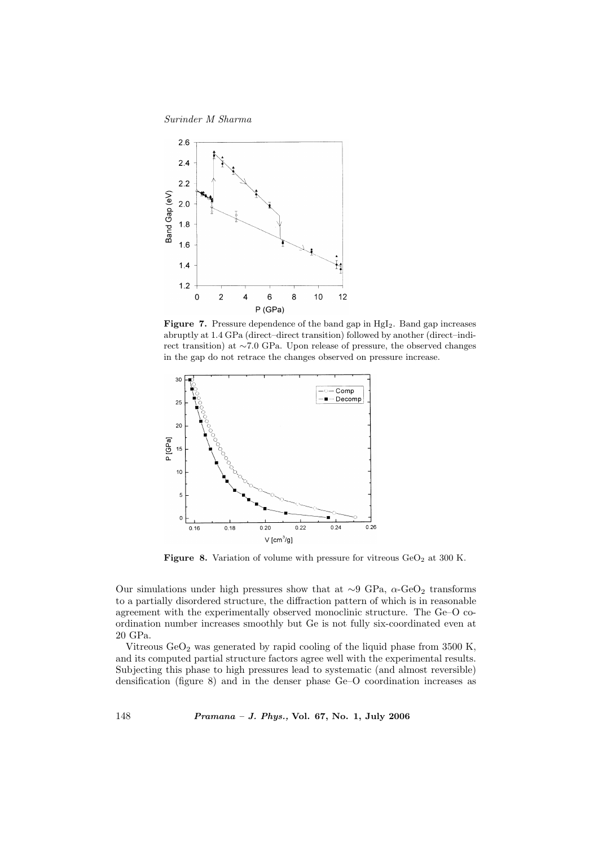Surinder M Sharma



**Figure 7.** Pressure dependence of the band gap in  $HgI_2$ . Band gap increases abruptly at 1.4 GPa (direct–direct transition) followed by another (direct–indirect transition) at ∼7.0 GPa. Upon release of pressure, the observed changes in the gap do not retrace the changes observed on pressure increase.



Figure 8. Variation of volume with pressure for vitreous  $GeO<sub>2</sub>$  at 300 K.

Our simulations under high pressures show that at  $\sim$ 9 GPa,  $\alpha$ -GeO<sub>2</sub> transforms to a partially disordered structure, the diffraction pattern of which is in reasonable agreement with the experimentally observed monoclinic structure. The Ge–O coordination number increases smoothly but Ge is not fully six-coordinated even at 20 GPa.

Vitreous  $\text{GeO}_2$  was generated by rapid cooling of the liquid phase from 3500 K, and its computed partial structure factors agree well with the experimental results. Subjecting this phase to high pressures lead to systematic (and almost reversible) densification (figure 8) and in the denser phase Ge–O coordination increases as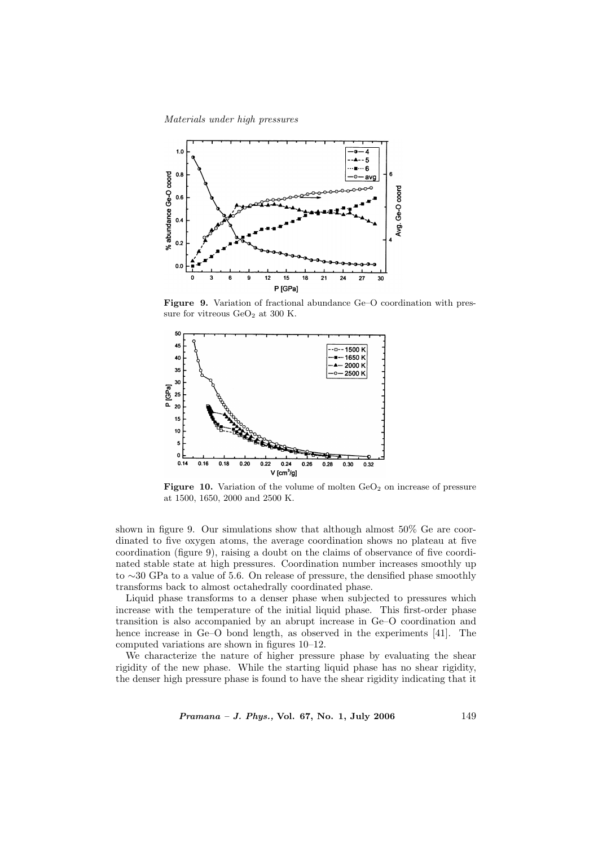Materials under high pressures



Figure 9. Variation of fractional abundance Ge–O coordination with pressure for vitreous  $\text{GeO}_2$  at 300 K.



Figure 10. Variation of the volume of molten  $GeO<sub>2</sub>$  on increase of pressure at 1500, 1650, 2000 and 2500 K.

shown in figure 9. Our simulations show that although almost 50% Ge are coordinated to five oxygen atoms, the average coordination shows no plateau at five coordination (figure 9), raising a doubt on the claims of observance of five coordinated stable state at high pressures. Coordination number increases smoothly up to ∼30 GPa to a value of 5.6. On release of pressure, the densified phase smoothly transforms back to almost octahedrally coordinated phase.

Liquid phase transforms to a denser phase when subjected to pressures which increase with the temperature of the initial liquid phase. This first-order phase transition is also accompanied by an abrupt increase in Ge–O coordination and hence increase in Ge–O bond length, as observed in the experiments [41]. The computed variations are shown in figures 10–12.

We characterize the nature of higher pressure phase by evaluating the shear rigidity of the new phase. While the starting liquid phase has no shear rigidity, the denser high pressure phase is found to have the shear rigidity indicating that it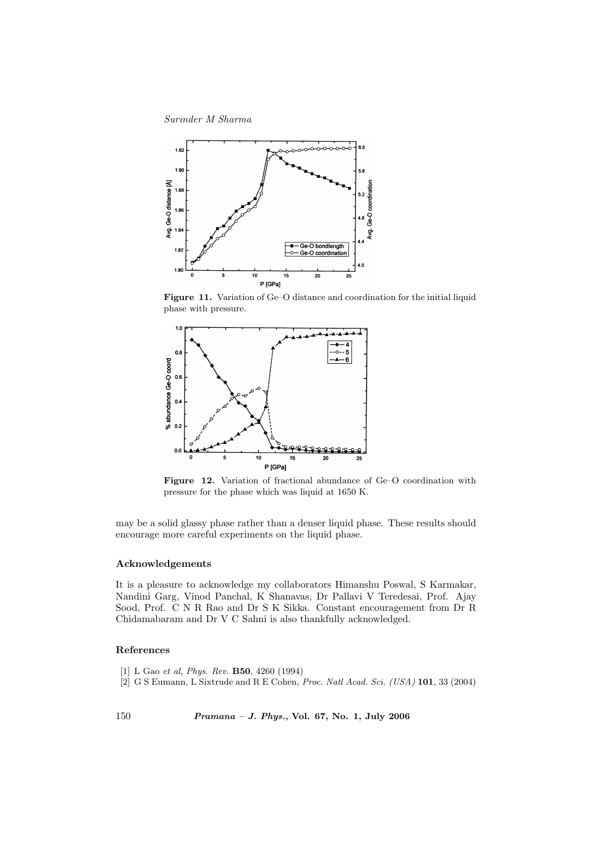Surinder M Sharma



Figure 11. Variation of Ge–O distance and coordination for the initial liquid phase with pressure.



Figure 12. Variation of fractional abundance of Ge–O coordination with pressure for the phase which was liquid at 1650 K.

may be a solid glassy phase rather than a denser liquid phase. These results should encourage more careful experiments on the liquid phase.

## Acknowledgements

It is a pleasure to acknowledge my collaborators Himanshu Poswal, S Karmakar, Nandini Garg, Vinod Panchal, K Shanavas, Dr Pallavi V Teredesai, Prof. Ajay Sood, Prof. C N R Rao and Dr S K Sikka. Constant encouragement from Dr R Chidamabaram and Dr V C Sahni is also thankfully acknowledged.

### References

- [1] L Gao et al, Phys. Rev. B50, 4260 (1994)
- [2] G S Eumann, L Sixtrude and R E Cohen, Proc. Natl Acad. Sci. (USA) 101, 33 (2004)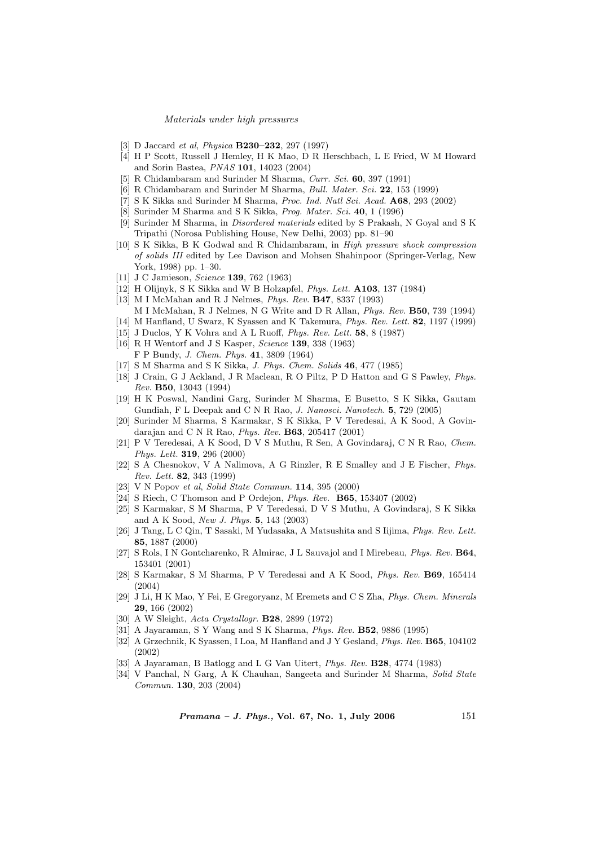#### Materials under high pressures

- [3] D Jaccard et al, Physica B230–232, 297 (1997)
- [4] H P Scott, Russell J Hemley, H K Mao, D R Herschbach, L E Fried, W M Howard and Sorin Bastea, PNAS 101, 14023 (2004)
- [5] R Chidambaram and Surinder M Sharma, Curr. Sci. 60, 397 (1991)
- [6] R Chidambaram and Surinder M Sharma, Bull. Mater. Sci. 22, 153 (1999)
- [7] S K Sikka and Surinder M Sharma, Proc. Ind. Natl Sci. Acad. A68, 293 (2002)
- [8] Surinder M Sharma and S K Sikka, Prog. Mater. Sci. 40, 1 (1996)
- [9] Surinder M Sharma, in Disordered materials edited by S Prakash, N Goyal and S K Tripathi (Norosa Publishing House, New Delhi, 2003) pp. 81–90
- [10] S K Sikka, B K Godwal and R Chidambaram, in High pressure shock compression of solids III edited by Lee Davison and Mohsen Shahinpoor (Springer-Verlag, New York, 1998) pp. 1–30.
- [11] J C Jamieson, *Science* **139**, 762 (1963)
- [12] H Olijnyk, S K Sikka and W B Holzapfel, Phys. Lett. A103, 137 (1984)
- [13] M I McMahan and R J Nelmes, Phys. Rev. B47, 8337 (1993) M I McMahan, R J Nelmes, N G Write and D R Allan, Phys. Rev. B50, 739 (1994)
- [14] M Hanfland, U Swarz, K Syassen and K Takemura, Phys. Rev. Lett. 82, 1197 (1999)
- [15] J Duclos, Y K Vohra and A L Ruoff, Phys. Rev. Lett. 58, 8 (1987)
- [16] R H Wentorf and J S Kasper, *Science* **139**, 338 (1963) F P Bundy, J. Chem. Phys. 41, 3809 (1964)
- [17] S M Sharma and S K Sikka, J. Phys. Chem. Solids 46, 477 (1985)
- [18] J Crain, G J Ackland, J R Maclean, R O Piltz, P D Hatton and G S Pawley, Phys. Rev. B50, 13043 (1994)
- [19] H K Poswal, Nandini Garg, Surinder M Sharma, E Busetto, S K Sikka, Gautam Gundiah, F L Deepak and C N R Rao, J. Nanosci. Nanotech. 5, 729 (2005)
- [20] Surinder M Sharma, S Karmakar, S K Sikka, P V Teredesai, A K Sood, A Govindarajan and C N R Rao, Phys. Rev. B63, 205417 (2001)
- [21] P V Teredesai, A K Sood, D V S Muthu, R Sen, A Govindaraj, C N R Rao, Chem. Phys. Lett. 319, 296 (2000)
- [22] S A Chesnokov, V A Nalimova, A G Rinzler, R E Smalley and J E Fischer, Phys. Rev. Lett. 82, 343 (1999)
- [23] V N Popov et al, Solid State Commun. 114, 395 (2000)
- [24] S Riech, C Thomson and P Ordejon, Phys. Rev. B65, 153407 (2002)
- [25] S Karmakar, S M Sharma, P V Teredesai, D V S Muthu, A Govindaraj, S K Sikka and A K Sood, New J. Phys. 5, 143 (2003)
- [26] J Tang, L C Qin, T Sasaki, M Yudasaka, A Matsushita and S Iijima, Phys. Rev. Lett. 85, 1887 (2000)
- [27] S Rols, I N Gontcharenko, R Almirac, J L Sauvajol and I Mirebeau, Phys. Rev. B64, 153401 (2001)
- [28] S Karmakar, S M Sharma, P V Teredesai and A K Sood, Phys. Rev. B69, 165414 (2004)
- [29] J Li, H K Mao, Y Fei, E Gregoryanz, M Eremets and C S Zha, Phys. Chem. Minerals 29, 166 (2002)
- [30] A W Sleight, Acta Crystallogr. B28, 2899 (1972)
- [31] A Jayaraman, S Y Wang and S K Sharma, Phys. Rev. B52, 9886 (1995)
- [32] A Grzechnik, K Syassen, I Loa, M Hanfland and J Y Gesland, Phys. Rev. B65, 104102 (2002)
- [33] A Jayaraman, B Batlogg and L G Van Uitert, Phys. Rev. B28, 4774 (1983)
- [34] V Panchal, N Garg, A K Chauhan, Sangeeta and Surinder M Sharma, Solid State Commun. 130, 203 (2004)